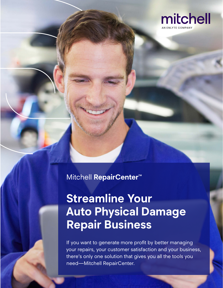

Mitchell **RepairCenter™**

# **Streamline Your Auto Physical Damage Repair Business**

If you want to generate more profit by better managing your repairs, your customer satisfaction and your business, there's only one solution that gives you all the tools you need—Mitchell RepairCenter.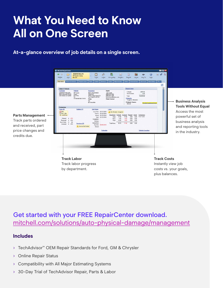# **What You Need to Know All on One Screen**

#### **At-a-glance overview of job details on a single screen.**



### Get started with your FREE RepairCenter download. [mitchell.com/solutions/auto-physical-damage/management](https://www.mitchell.com/solutions/auto-physical-damage/management)

#### **Includes**

- › TechAdvisor™ OEM Repair Standards for Ford, GM & Chrysler
- › Online Repair Status
- › Compatibility with All Major Estimating Systems
- › 30-Day Trial of TechAdvisor Repair, Parts & Labor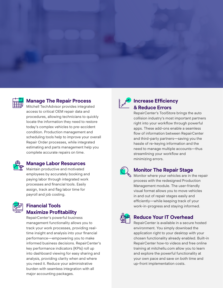



#### **Manage The Repair Process**

Mitchell TechAdvisor provides integrated access to critical OEM repair data and procedures, allowing technicians to quickly locate the information they need to restore today's complex vehicles to pre-accident condition. Production management and scheduling tools help to improve your overall Repair Order processes, while integrated estimating and parts management help you complete accurate repairs on time.



#### **Manage Labor Resources**

Maintain productive and motivated employees by accurately booking and paying labor through integrated work processes and financial tools. Easily assign, track and flag labor time for payroll and job costing.



#### **Financial Tools Maximize Profitability**

RepairCenter's powerful business management functionality allows you to track your work processes, providing realtime insight and analysis into your financial performance—empowering you to make informed business decisions. RepairCenter's key performance indicators (KPIs) roll up into dashboard viewing for easy sharing and analysis, providing clarity when and where you need it. Reduce your administrative burden with seamless integration with all major accounting packages.



#### **Increase Efficiency & Reduce Errors**

RepairCenter's ToolStore brings the auto collision industry's most important partners right into your workflow through powerful apps. These add-ons enable a seamless flow of information between RepairCenter and third-party partners—saving you the hassle of re-keying information and the need to manage multiple accounts—thus streamlining your workflow and minimizing errors.



#### **Monitor The Repair Stage**

Monitor where your vehicles are in the repair process with the redesigned Production Management module. The user-friendly visual format allows you to move vehicles in and out of repair stages easily and efficiently—while keeping track of your work-in-progress and staying informed.



#### **Reduce Your IT Overhead**

RepairCenter is available in a secure hosted environment. You simply download the application right to your desktop with your chosen functionality already enabled. Built-in RepairCenter how-to videos and free online training at mitchellu.com allow you to learn and explore the powerful functionality at your own pace and save on both time and up-front implementation costs.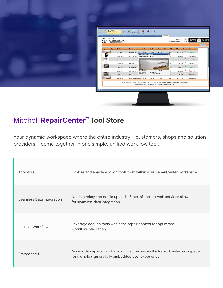| ALVIN GROFF<br>03 DODG NEON SXT<br>49<br>D<br>History<br>10b3<br>RO: 31673<br>RO#: 31673<br>Y/M/M: 03 Dodge Neon SXT                                | <b>Michell RepairCenter</b><br>. .<br>A B E B B III<br>Help<br>Overview Admin & Vehicle Report Parts Subjet Services Labor Attachments Activity Amount Due 366 Osci Wee Status Tech/Africa ACME PARTS<br>Username : Willis<br>ACME Account #: 75918                                                                                                                                                                                                                                                                                                                                                                                                                                                                                         |                                                                                                      |
|-----------------------------------------------------------------------------------------------------------------------------------------------------|---------------------------------------------------------------------------------------------------------------------------------------------------------------------------------------------------------------------------------------------------------------------------------------------------------------------------------------------------------------------------------------------------------------------------------------------------------------------------------------------------------------------------------------------------------------------------------------------------------------------------------------------------------------------------------------------------------------------------------------------|------------------------------------------------------------------------------------------------------|
| 1B3ES56C33D172794<br>VIN:                                                                                                                           |                                                                                                                                                                                                                                                                                                                                                                                                                                                                                                                                                                                                                                                                                                                                             | Order                                                                                                |
| <b>Part Number</b><br>Type<br>174264521<br>$\overline{f}$<br>498974839<br><b>POR</b><br>233132524<br>152645640<br>55567994<br>13537448<br>242517646 | Vnd List<br>Cost<br><b>Discount % Expected By</b><br>Order? Status<br><b>Description</b><br><b>Est Price</b><br>$\Xi$<br>3/11/2012<br>Rear Bumper Cover \$253.00<br>\$253.00<br>\$220.00<br>13%<br><b>B</b> Part Information Details<br>$\Box$<br>3/9/2012<br>Front Fender<br><b>Rear Bumper Cover</b><br>$\Box$<br>3/9/2012<br>Front Assy<br>$\overline{\mathbf{v}}$<br>3/8/2012<br>Headlamp<br>$\boxdot$<br>3/9/2012<br>Door Panel<br>$\Box$<br>Est: \$253.00<br>Part available: 3/11/2012<br>3/9/2012<br>Roof Panel<br>List: \$253.00<br>Certifications:<br>Cost: \$220.00<br>CAPA, Platinum<br>$\Box$<br>3/9/2012<br>Hood<br><b>COUNTY</b><br><b>STATISTICS</b><br>$\Box$<br>Front Bumper Cover \$231.00<br>\$17500<br>24%<br>3/11/2012 | Ordered<br>Not Ordered<br>Not Ordered<br>Ordered<br><b>Ordered</b><br><b>Returned</b><br>Not Ordered |

### Mitchell **RepairCenter™ Tool Store**

Your dynamic workspace where the entire industry—customers, shops and solution providers—come together in one simple, unified workflow tool.

| ToolStore                 | Explore and enable add-on tools from within your RepairCenter workspace.                                                            |
|---------------------------|-------------------------------------------------------------------------------------------------------------------------------------|
| Seamless Data Integration | No data rekey and no file uploads. State-of-the-art web services allow<br>for seamless data integration.                            |
| Intuitive Workflow        | Leverage add-on tools within the repair context for optimized<br>workflow integration.                                              |
| Embedded UI               | Access third-party vendor solutions from within the RepairCenter workspace<br>for a single sign on, fully embedded user experience. |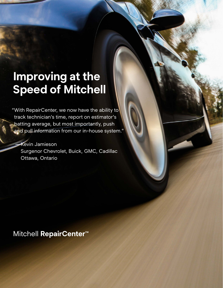# **Improving at the Speed of Mitchell**

"With RepairCenter, we now have the ability to track technician's time, report on estimator's batting average, but most importantly, push and pull information from our in-house system."

#### **Kevin Jamieson**

Surgenor Chevrolet, Buick, GMC, Cadillac Ottawa, Ontario

## Mitchell **RepairCenter™**